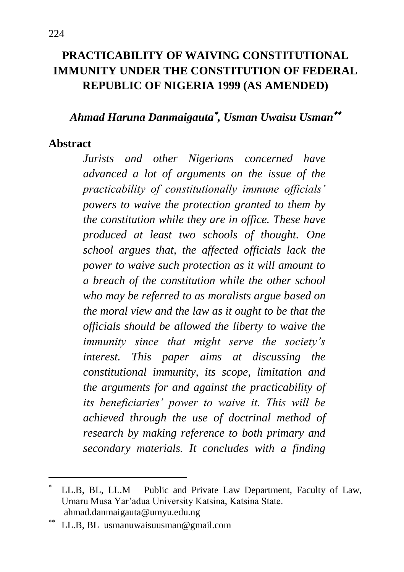## **PRACTICABILITY OF WAIVING CONSTITUTIONAL IMMUNITY UNDER THE CONSTITUTION OF FEDERAL REPUBLIC OF NIGERIA 1999 (AS AMENDED)**

#### *Ahmad Haruna Danmaigauta , Usman Uwaisu Usman*

#### **Abstract**

 $\overline{a}$ 

*Jurists and other Nigerians concerned have advanced a lot of arguments on the issue of the practicability of constitutionally immune officials' powers to waive the protection granted to them by the constitution while they are in office. These have produced at least two schools of thought. One school argues that, the affected officials lack the power to waive such protection as it will amount to a breach of the constitution while the other school who may be referred to as moralists argue based on the moral view and the law as it ought to be that the officials should be allowed the liberty to waive the immunity since that might serve the society's interest. This paper aims at discussing the constitutional immunity, its scope, limitation and the arguments for and against the practicability of its beneficiaries' power to waive it. This will be achieved through the use of doctrinal method of research by making reference to both primary and secondary materials. It concludes with a finding* 

<sup>\*</sup> LL.B, BL, LL.M Public and Private Law Department, Faculty of Law, Umaru Musa Yar"adua University Katsina, Katsina State. [ahmad.danmaigauta@umyu.edu.ng](mailto:ahmad.danmaigauta@umyu.edu.ng) 

<sup>\*\*</sup> LL.B, BL [usmanuwaisuusman@gmail.com](mailto:usmanuwaisuusman@gmail.com)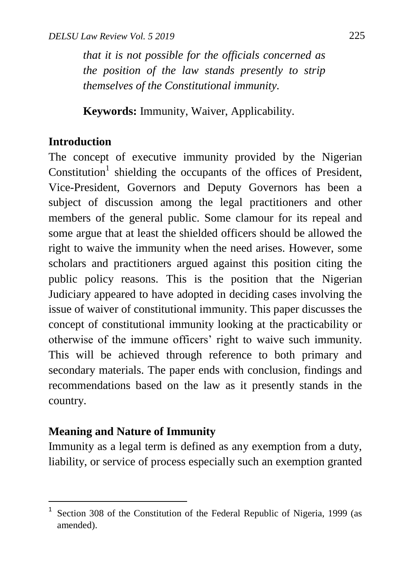*that it is not possible for the officials concerned as the position of the law stands presently to strip themselves of the Constitutional immunity.*

**Keywords:** Immunity, Waiver, Applicability.

### **Introduction**

The concept of executive immunity provided by the Nigerian Constitution<sup>1</sup> shielding the occupants of the offices of President, Vice-President, Governors and Deputy Governors has been a subject of discussion among the legal practitioners and other members of the general public. Some clamour for its repeal and some argue that at least the shielded officers should be allowed the right to waive the immunity when the need arises. However, some scholars and practitioners argued against this position citing the public policy reasons. This is the position that the Nigerian Judiciary appeared to have adopted in deciding cases involving the issue of waiver of constitutional immunity. This paper discusses the concept of constitutional immunity looking at the practicability or otherwise of the immune officers" right to waive such immunity. This will be achieved through reference to both primary and secondary materials. The paper ends with conclusion, findings and recommendations based on the law as it presently stands in the country.

#### **Meaning and Nature of Immunity**

 $\overline{a}$ 

Immunity as a legal term is defined as any exemption from a duty, liability, or service of process especially such an exemption granted

<sup>&</sup>lt;sup>1</sup> Section 308 of the Constitution of the Federal Republic of Nigeria, 1999 (as amended).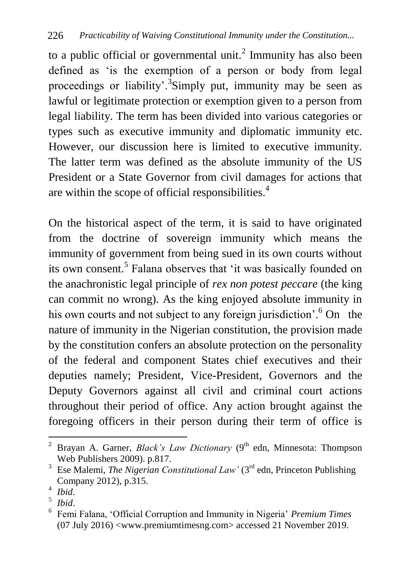to a public official or governmental unit.<sup>2</sup> Immunity has also been defined as "is the exemption of a person or body from legal proceedings or liability'.<sup>3</sup>Simply put, immunity may be seen as lawful or legitimate protection or exemption given to a person from legal liability. The term has been divided into various categories or types such as executive immunity and diplomatic immunity etc. However, our discussion here is limited to executive immunity. The latter term was defined as the absolute immunity of the US President or a State Governor from civil damages for actions that are within the scope of official responsibilities.<sup>4</sup>

On the historical aspect of the term, it is said to have originated from the doctrine of sovereign immunity which means the immunity of government from being sued in its own courts without its own consent.<sup>5</sup> Falana observes that 'it was basically founded on the anachronistic legal principle of *rex non potest peccare* (the king can commit no wrong). As the king enjoyed absolute immunity in his own courts and not subject to any foreign jurisdiction'.<sup>6</sup> On the nature of immunity in the Nigerian constitution, the provision made by the constitution confers an absolute protection on the personality of the federal and component States chief executives and their deputies namely; President, Vice-President, Governors and the Deputy Governors against all civil and criminal court actions throughout their period of office. Any action brought against the foregoing officers in their person during their term of office is

 $\overline{a}$ 

<sup>&</sup>lt;sup>2</sup> Brayan A. Garner, *Black's Law Dictionary* (9<sup>th</sup> edn, Minnesota: Thompson Web Publishers 2009). p.817.

<sup>&</sup>lt;sup>3</sup> Ese Malemi, *The Nigerian Constitutional Law'* (3<sup>rd</sup> edn, Princeton Publishing) Company 2012), p.315.

<sup>4</sup> *Ibid*.

<sup>5</sup> *Ibid*.

<sup>6</sup> Femi Falana, "Official Corruption and Immunity in Nigeria" *Premium Times* (07 July 2016) [<www.premiumtimesng.com>](http://www.premiumtimesng.com/) accessed 21 November 2019.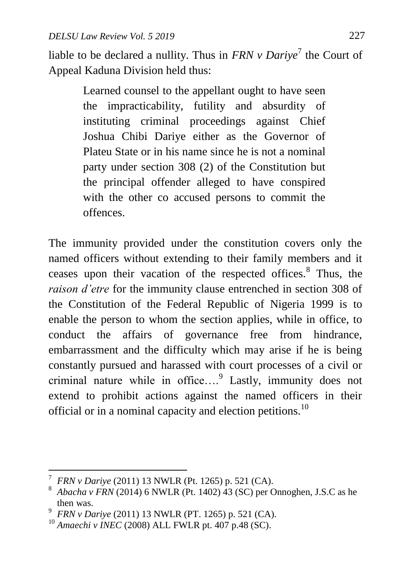liable to be declared a nullity. Thus in *FRN v Dariye*<sup>7</sup> the Court of Appeal Kaduna Division held thus:

> Learned counsel to the appellant ought to have seen the impracticability, futility and absurdity of instituting criminal proceedings against Chief Joshua Chibi Dariye either as the Governor of Plateu State or in his name since he is not a nominal party under section 308 (2) of the Constitution but the principal offender alleged to have conspired with the other co accused persons to commit the offences.

The immunity provided under the constitution covers only the named officers without extending to their family members and it ceases upon their vacation of the respected offices.<sup>8</sup> Thus, the *raison d'etre* for the immunity clause entrenched in section 308 of the Constitution of the Federal Republic of Nigeria 1999 is to enable the person to whom the section applies, while in office, to conduct the affairs of governance free from hindrance, embarrassment and the difficulty which may arise if he is being constantly pursued and harassed with court processes of a civil or criminal nature while in office....<sup>9</sup> Lastly, immunity does not extend to prohibit actions against the named officers in their official or in a nominal capacity and election petitions.<sup>10</sup>

 $\overline{a}$ 

<sup>7</sup> *FRN v Dariye* (2011) 13 NWLR (Pt. 1265) p. 521 (CA).

 $8$  *Abacha v FRN* (2014) 6 NWLR (Pt. 1402) 43 (SC) per Onnoghen, J.S.C as he then was.

<sup>9</sup> *FRN v Dariye* (2011) 13 NWLR (PT. 1265) p. 521 (CA).

<sup>10</sup> *Amaechi v INEC* (2008) ALL FWLR pt. 407 p.48 (SC).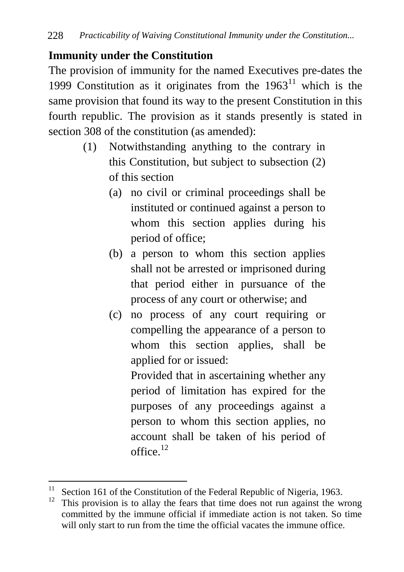## **Immunity under the Constitution**

The provision of immunity for the named Executives pre-dates the 1999 Constitution as it originates from the  $1963<sup>11</sup>$  which is the same provision that found its way to the present Constitution in this fourth republic. The provision as it stands presently is stated in section 308 of the constitution (as amended):

- (1) Notwithstanding anything to the contrary in this Constitution, but subject to subsection (2) of this section
	- (a) no civil or criminal proceedings shall be instituted or continued against a person to whom this section applies during his period of office;
	- (b) a person to whom this section applies shall not be arrested or imprisoned during that period either in pursuance of the process of any court or otherwise; and
	- (c) no process of any court requiring or compelling the appearance of a person to whom this section applies, shall be applied for or issued:

Provided that in ascertaining whether any period of limitation has expired for the purposes of any proceedings against a person to whom this section applies, no account shall be taken of his period of office. $12$ 

<sup>&</sup>lt;sup>11</sup> Section 161 of the Constitution of the Federal Republic of Nigeria, 1963.

 $12$  This provision is to allay the fears that time does not run against the wrong committed by the immune official if immediate action is not taken. So time will only start to run from the time the official vacates the immune office.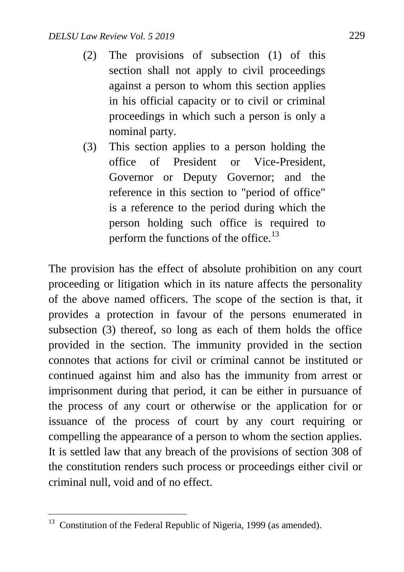- (2) The provisions of subsection (1) of this section shall not apply to civil proceedings against a person to whom this section applies in his official capacity or to civil or criminal proceedings in which such a person is only a nominal party.
- (3) This section applies to a person holding the office of President or Vice-President, Governor or Deputy Governor; and the reference in this section to "period of office" is a reference to the period during which the person holding such office is required to perform the functions of the office. $^{13}$

The provision has the effect of absolute prohibition on any court proceeding or litigation which in its nature affects the personality of the above named officers. The scope of the section is that, it provides a protection in favour of the persons enumerated in subsection (3) thereof, so long as each of them holds the office provided in the section. The immunity provided in the section connotes that actions for civil or criminal cannot be instituted or continued against him and also has the immunity from arrest or imprisonment during that period, it can be either in pursuance of the process of any court or otherwise or the application for or issuance of the process of court by any court requiring or compelling the appearance of a person to whom the section applies. It is settled law that any breach of the provisions of section 308 of the constitution renders such process or proceedings either civil or criminal null, void and of no effect.

 $\overline{a}$ <sup>13</sup> Constitution of the Federal Republic of Nigeria, 1999 (as amended).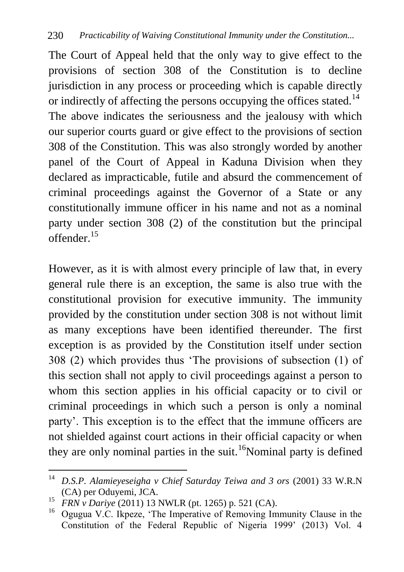The Court of Appeal held that the only way to give effect to the provisions of section 308 of the Constitution is to decline jurisdiction in any process or proceeding which is capable directly or indirectly of affecting the persons occupying the offices stated.<sup>14</sup> The above indicates the seriousness and the jealousy with which our superior courts guard or give effect to the provisions of section 308 of the Constitution. This was also strongly worded by another panel of the Court of Appeal in Kaduna Division when they declared as impracticable, futile and absurd the commencement of criminal proceedings against the Governor of a State or any constitutionally immune officer in his name and not as a nominal party under section 308 (2) of the constitution but the principal offender.<sup>15</sup>

However, as it is with almost every principle of law that, in every general rule there is an exception, the same is also true with the constitutional provision for executive immunity. The immunity provided by the constitution under section 308 is not without limit as many exceptions have been identified thereunder. The first exception is as provided by the Constitution itself under section 308 (2) which provides thus "The provisions of subsection (1) of this section shall not apply to civil proceedings against a person to whom this section applies in his official capacity or to civil or criminal proceedings in which such a person is only a nominal party". This exception is to the effect that the immune officers are not shielded against court actions in their official capacity or when they are only nominal parties in the suit.<sup>16</sup>Nominal party is defined

 $\overline{a}$ 

<sup>14</sup> *D.S.P. Alamieyeseigha v Chief Saturday Teiwa and 3 ors* (2001) 33 W.R.N (CA) per Oduyemi, JCA.

<sup>15</sup> *FRN v Dariye* (2011) 13 NWLR (pt. 1265) p. 521 (CA).

<sup>&</sup>lt;sup>16</sup> Ogugua V.C. Ikpeze, 'The Imperative of Removing Immunity Clause in the Constitution of the Federal Republic of Nigeria 1999" (2013) Vol. 4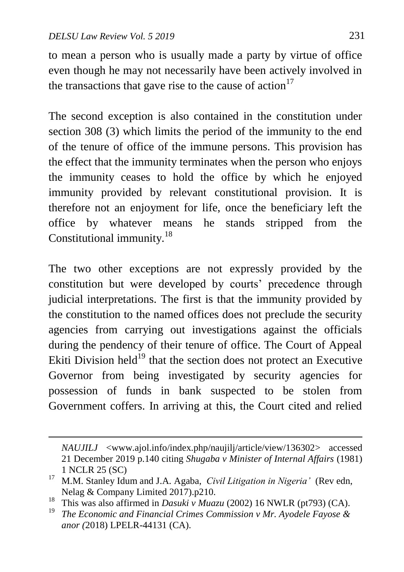$\overline{a}$ 

to mean a person who is usually made a party by virtue of office even though he may not necessarily have been actively involved in the transactions that gave rise to the cause of action<sup>17</sup>

The second exception is also contained in the constitution under section 308 (3) which limits the period of the immunity to the end of the tenure of office of the immune persons. This provision has the effect that the immunity terminates when the person who enjoys the immunity ceases to hold the office by which he enjoyed immunity provided by relevant constitutional provision. It is therefore not an enjoyment for life, once the beneficiary left the office by whatever means he stands stripped from the Constitutional immunity.<sup>18</sup>

The two other exceptions are not expressly provided by the constitution but were developed by courts" precedence through judicial interpretations. The first is that the immunity provided by the constitution to the named offices does not preclude the security agencies from carrying out investigations against the officials during the pendency of their tenure of office. The Court of Appeal Ekiti Division held $^{19}$  that the section does not protect an Executive Governor from being investigated by security agencies for possession of funds in bank suspected to be stolen from Government coffers. In arriving at this, the Court cited and relied

*NAUJILJ* [<www.ajol.info/index.php/naujilj/article/view/136302>](http://www.ajol.info/index.php/naujilj/article/view/136302) accessed 21 December 2019 p.140 citing *Shugaba v Minister of Internal Affairs* (1981) 1 NCLR 25 (SC)

<sup>17</sup> M.M. Stanley Idum and J.A. Agaba, *Civil Litigation in Nigeria'* (Rev edn, Nelag & Company Limited 2017).p210.

<sup>&</sup>lt;sup>18</sup> This was also affirmed in *Dasuki v Muazu* (2002) 16 NWLR (pt793) (CA).

<sup>19</sup> *The Economic and Financial Crimes Commission v Mr. Ayodele Fayose & anor (*2018) LPELR-44131 (CA).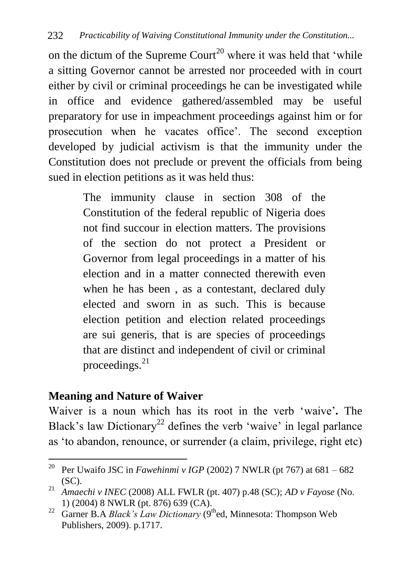on the dictum of the Supreme Court<sup>20</sup> where it was held that 'while a sitting Governor cannot be arrested nor proceeded with in court either by civil or criminal proceedings he can be investigated while in office and evidence gathered/assembled may be useful preparatory for use in impeachment proceedings against him or for prosecution when he vacates office". The second exception developed by judicial activism is that the immunity under the Constitution does not preclude or prevent the officials from being sued in election petitions as it was held thus:

> The immunity clause in section 308 of the Constitution of the federal republic of Nigeria does not find succour in election matters. The provisions of the section do not protect a President or Governor from legal proceedings in a matter of his election and in a matter connected therewith even when he has been , as a contestant, declared duly elected and sworn in as such. This is because election petition and election related proceedings are sui generis, that is are species of proceedings that are distinct and independent of civil or criminal proceedings.<sup>21</sup>

## **Meaning and Nature of Waiver**

Waiver is a noun which has its root in the verb "waive"**.** The Black's law Dictionary<sup>22</sup> defines the verb 'waive' in legal parlance as "to abandon, renounce, or surrender (a claim, privilege, right etc)

<sup>20</sup> <sup>20</sup> Per Uwaifo JSC in *Fawehinmi v IGP* (2002) 7 NWLR (pt 767) at 681 – 682 (SC).

<sup>21</sup> *Amaechi v INEC* (2008) ALL FWLR (pt. 407) p.48 (SC); *AD v Fayose* (No. 1) (2004) 8 NWLR (pt. 876) 639 (CA).

<sup>&</sup>lt;sup>22</sup> Garner B.A *Black's Law Dictionary* (9<sup>th</sup>ed, Minnesota: Thompson Web Publishers, 2009). p.1717.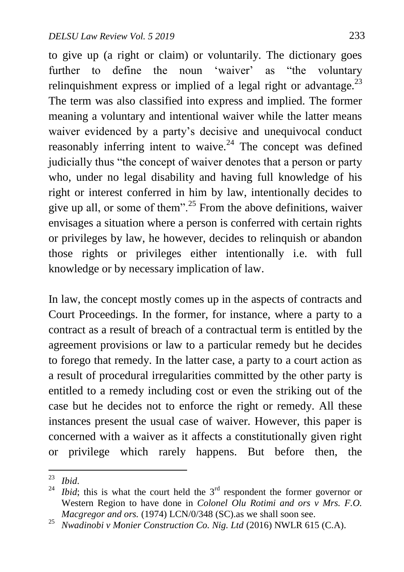to give up (a right or claim) or voluntarily. The dictionary goes further to define the noun 'waiver' as "the voluntary relinquishment express or implied of a legal right or advantage.<sup>23</sup> The term was also classified into express and implied. The former meaning a voluntary and intentional waiver while the latter means waiver evidenced by a party's decisive and unequivocal conduct reasonably inferring intent to waive. $24$  The concept was defined judicially thus "the concept of waiver denotes that a person or party who, under no legal disability and having full knowledge of his right or interest conferred in him by law, intentionally decides to give up all, or some of them".<sup>25</sup> From the above definitions, waiver envisages a situation where a person is conferred with certain rights or privileges by law, he however, decides to relinquish or abandon those rights or privileges either intentionally i.e. with full knowledge or by necessary implication of law.

In law, the concept mostly comes up in the aspects of contracts and Court Proceedings. In the former, for instance, where a party to a contract as a result of breach of a contractual term is entitled by the agreement provisions or law to a particular remedy but he decides to forego that remedy. In the latter case, a party to a court action as a result of procedural irregularities committed by the other party is entitled to a remedy including cost or even the striking out of the case but he decides not to enforce the right or remedy. All these instances present the usual case of waiver. However, this paper is concerned with a waiver as it affects a constitutionally given right or privilege which rarely happens. But before then, the

 $\overline{a}$ <sup>23</sup> *Ibid*.

 $24$  *Ibid*; this is what the court held the  $3<sup>rd</sup>$  respondent the former governor or Western Region to have done in *Colonel Olu Rotimi and ors v Mrs. F.O. Macgregor and ors.* (1974) LCN/0/348 (SC).as we shall soon see.

<sup>25</sup> *Nwadinobi v Monier Construction Co. Nig. Ltd* (2016) NWLR 615 (C.A).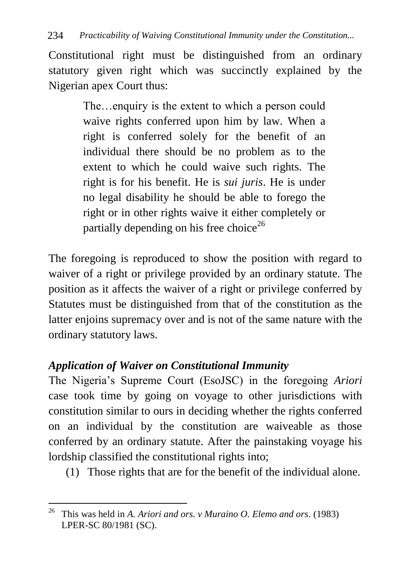Constitutional right must be distinguished from an ordinary statutory given right which was succinctly explained by the Nigerian apex Court thus:

> The…enquiry is the extent to which a person could waive rights conferred upon him by law. When a right is conferred solely for the benefit of an individual there should be no problem as to the extent to which he could waive such rights. The right is for his benefit. He is *sui juris*. He is under no legal disability he should be able to forego the right or in other rights waive it either completely or partially depending on his free choice<sup>26</sup>

The foregoing is reproduced to show the position with regard to waiver of a right or privilege provided by an ordinary statute. The position as it affects the waiver of a right or privilege conferred by Statutes must be distinguished from that of the constitution as the latter enjoins supremacy over and is not of the same nature with the ordinary statutory laws.

## *Application of Waiver on Constitutional Immunity*

The Nigeria"s Supreme Court (EsoJSC) in the foregoing *Ariori* case took time by going on voyage to other jurisdictions with constitution similar to ours in deciding whether the rights conferred on an individual by the constitution are waiveable as those conferred by an ordinary statute. After the painstaking voyage his lordship classified the constitutional rights into;

(1) Those rights that are for the benefit of the individual alone.

 $\overline{a}$ <sup>26</sup> This was held in *A. Ariori and ors. v Muraino O. Elemo and ors*. (1983) LPER-SC 80/1981 (SC).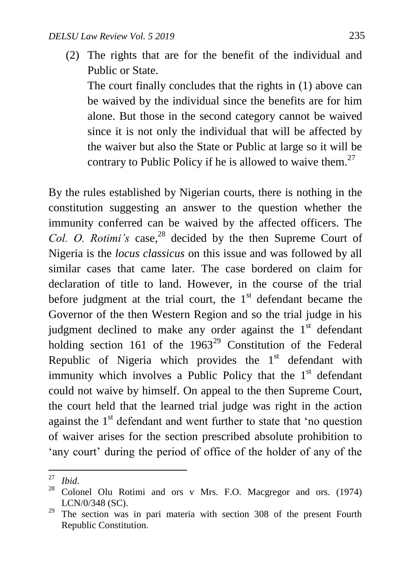(2) The rights that are for the benefit of the individual and Public or State.

The court finally concludes that the rights in (1) above can be waived by the individual since the benefits are for him alone. But those in the second category cannot be waived since it is not only the individual that will be affected by the waiver but also the State or Public at large so it will be contrary to Public Policy if he is allowed to waive them.<sup>27</sup>

By the rules established by Nigerian courts, there is nothing in the constitution suggesting an answer to the question whether the immunity conferred can be waived by the affected officers. The *Col. O. Rotimi's* case,<sup>28</sup> decided by the then Supreme Court of Nigeria is the *locus classicus* on this issue and was followed by all similar cases that came later. The case bordered on claim for declaration of title to land. However, in the course of the trial before judgment at the trial court, the  $1<sup>st</sup>$  defendant became the Governor of the then Western Region and so the trial judge in his judgment declined to make any order against the  $1<sup>st</sup>$  defendant holding section 161 of the  $1963^{29}$  Constitution of the Federal Republic of Nigeria which provides the  $1<sup>st</sup>$  defendant with immunity which involves a Public Policy that the  $1<sup>st</sup>$  defendant could not waive by himself. On appeal to the then Supreme Court, the court held that the learned trial judge was right in the action against the  $1<sup>st</sup>$  defendant and went further to state that 'no question of waiver arises for the section prescribed absolute prohibition to "any court" during the period of office of the holder of any of the

<sup>27</sup>  $rac{27}{28}$  *Ibid.* 

<sup>28</sup> Colonel Olu Rotimi and ors v Mrs. F.O. Macgregor and ors. (1974) LCN/0/348 (SC).

 $29$  The section was in pari materia with section 308 of the present Fourth Republic Constitution.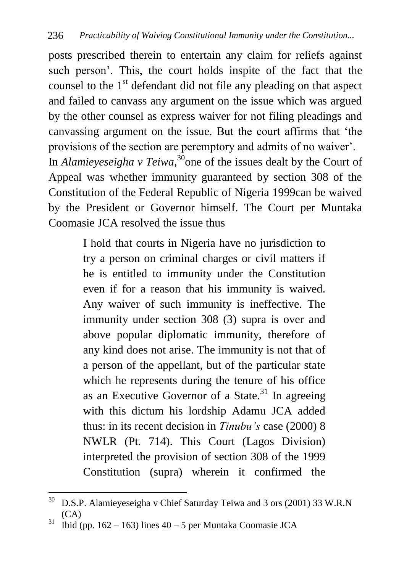posts prescribed therein to entertain any claim for reliefs against such person". This, the court holds inspite of the fact that the counsel to the 1<sup>st</sup> defendant did not file any pleading on that aspect and failed to canvass any argument on the issue which was argued by the other counsel as express waiver for not filing pleadings and canvassing argument on the issue. But the court affirms that "the provisions of the section are peremptory and admits of no waiver". In *Alamieyeseigha v Teiwa*,<sup>30</sup> one of the issues dealt by the Court of Appeal was whether immunity guaranteed by section 308 of the Constitution of the Federal Republic of Nigeria 1999can be waived by the President or Governor himself. The Court per Muntaka Coomasie JCA resolved the issue thus

> I hold that courts in Nigeria have no jurisdiction to try a person on criminal charges or civil matters if he is entitled to immunity under the Constitution even if for a reason that his immunity is waived. Any waiver of such immunity is ineffective. The immunity under section 308 (3) supra is over and above popular diplomatic immunity, therefore of any kind does not arise. The immunity is not that of a person of the appellant, but of the particular state which he represents during the tenure of his office as an Executive Governor of a State. $31$  In agreeing with this dictum his lordship Adamu JCA added thus: in its recent decision in *Tinubu's* case (2000) 8 NWLR (Pt. 714). This Court (Lagos Division) interpreted the provision of section 308 of the 1999 Constitution (supra) wherein it confirmed the

<sup>30</sup> <sup>30</sup> D.S.P. Alamieyeseigha v Chief Saturday Teiwa and 3 ors (2001) 33 W.R.N  $(CA)$ 

<sup>&</sup>lt;sup>31</sup> Ibid (pp. 162 – 163) lines  $40 - 5$  per Muntaka Coomasie JCA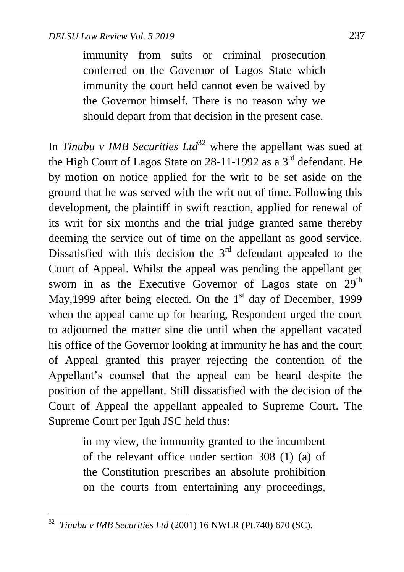immunity from suits or criminal prosecution conferred on the Governor of Lagos State which immunity the court held cannot even be waived by the Governor himself. There is no reason why we should depart from that decision in the present case.

In *Tinubu v IMB Securities Ltd*<sup>32</sup> where the appellant was sued at the High Court of Lagos State on  $28-11-1992$  as a  $3<sup>rd</sup>$  defendant. He by motion on notice applied for the writ to be set aside on the ground that he was served with the writ out of time. Following this development, the plaintiff in swift reaction, applied for renewal of its writ for six months and the trial judge granted same thereby deeming the service out of time on the appellant as good service. Dissatisfied with this decision the  $3<sup>rd</sup>$  defendant appealed to the Court of Appeal. Whilst the appeal was pending the appellant get sworn in as the Executive Governor of Lagos state on  $29<sup>th</sup>$ May, 1999 after being elected. On the  $1<sup>st</sup>$  day of December, 1999 when the appeal came up for hearing, Respondent urged the court to adjourned the matter sine die until when the appellant vacated his office of the Governor looking at immunity he has and the court of Appeal granted this prayer rejecting the contention of the Appellant"s counsel that the appeal can be heard despite the position of the appellant. Still dissatisfied with the decision of the Court of Appeal the appellant appealed to Supreme Court. The Supreme Court per Iguh JSC held thus:

> in my view, the immunity granted to the incumbent of the relevant office under section 308 (1) (a) of the Constitution prescribes an absolute prohibition on the courts from entertaining any proceedings,

 $\overline{a}$ <sup>32</sup> *Tinubu v IMB Securities Ltd* (2001) 16 NWLR (Pt.740) 670 (SC).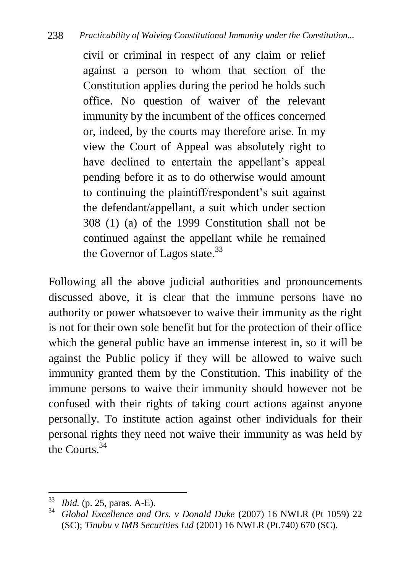civil or criminal in respect of any claim or relief against a person to whom that section of the Constitution applies during the period he holds such office. No question of waiver of the relevant immunity by the incumbent of the offices concerned or, indeed, by the courts may therefore arise. In my view the Court of Appeal was absolutely right to have declined to entertain the appellant's appeal pending before it as to do otherwise would amount to continuing the plaintiff/respondent's suit against the defendant/appellant, a suit which under section 308 (1) (a) of the 1999 Constitution shall not be continued against the appellant while he remained the Governor of Lagos state.<sup>33</sup>

Following all the above judicial authorities and pronouncements discussed above, it is clear that the immune persons have no authority or power whatsoever to waive their immunity as the right is not for their own sole benefit but for the protection of their office which the general public have an immense interest in, so it will be against the Public policy if they will be allowed to waive such immunity granted them by the Constitution. This inability of the immune persons to waive their immunity should however not be confused with their rights of taking court actions against anyone personally. To institute action against other individuals for their personal rights they need not waive their immunity as was held by the Courts  $34$ 

1

<sup>33</sup> *Ibid.* (p. 25, paras. A-E).

<sup>34</sup> *Global Excellence and Ors. v Donald Duke* (2007) 16 NWLR (Pt 1059) 22 (SC); *Tinubu v IMB Securities Ltd* (2001) 16 NWLR (Pt.740) 670 (SC).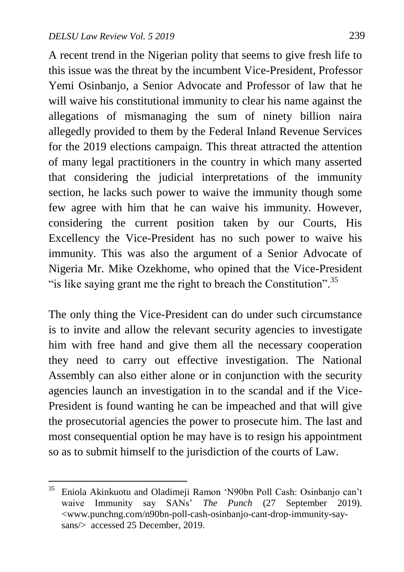$\overline{a}$ 

A recent trend in the Nigerian polity that seems to give fresh life to this issue was the threat by the incumbent Vice-President, Professor Yemi Osinbanjo, a Senior Advocate and Professor of law that he will waive his constitutional immunity to clear his name against the allegations of mismanaging the sum of ninety billion naira allegedly provided to them by the Federal Inland Revenue Services for the 2019 elections campaign. This threat attracted the attention of many legal practitioners in the country in which many asserted that considering the judicial interpretations of the immunity section, he lacks such power to waive the immunity though some few agree with him that he can waive his immunity. However, considering the current position taken by our Courts, His Excellency the Vice-President has no such power to waive his immunity. This was also the argument of a Senior Advocate of Nigeria Mr. Mike Ozekhome, who opined that the Vice-President "is like saying grant me the right to breach the Constitution".<sup>35</sup>

The only thing the Vice-President can do under such circumstance is to invite and allow the relevant security agencies to investigate him with free hand and give them all the necessary cooperation they need to carry out effective investigation. The National Assembly can also either alone or in conjunction with the security agencies launch an investigation in to the scandal and if the Vice-President is found wanting he can be impeached and that will give the prosecutorial agencies the power to prosecute him. The last and most consequential option he may have is to resign his appointment so as to submit himself to the jurisdiction of the courts of Law.

<sup>&</sup>lt;sup>35</sup> Eniola Akinkuotu and Oladimeji Ramon 'N90bn Poll Cash: Osinbanjo can't waive Immunity say SANs" *The Punch* (27 September 2019). [<www.punchng.com/](http://www.punchng.com/)n90bn-poll-cash-osinbanjo-cant-drop-immunity-saysans/> accessed 25 December, 2019.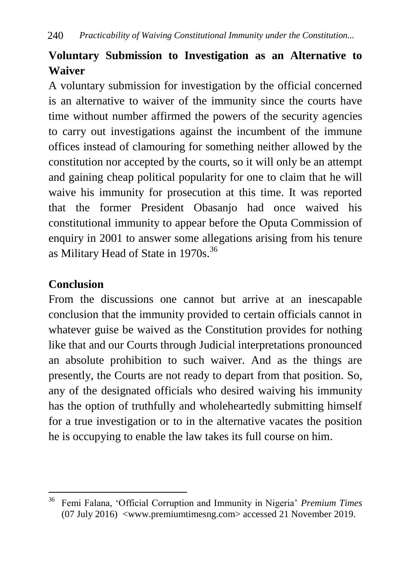# **Voluntary Submission to Investigation as an Alternative to Waiver**

A voluntary submission for investigation by the official concerned is an alternative to waiver of the immunity since the courts have time without number affirmed the powers of the security agencies to carry out investigations against the incumbent of the immune offices instead of clamouring for something neither allowed by the constitution nor accepted by the courts, so it will only be an attempt and gaining cheap political popularity for one to claim that he will waive his immunity for prosecution at this time. It was reported that the former President Obasanjo had once waived his constitutional immunity to appear before the Oputa Commission of enquiry in 2001 to answer some allegations arising from his tenure as Military Head of State in 1970s.<sup>36</sup>

### **Conclusion**

1

From the discussions one cannot but arrive at an inescapable conclusion that the immunity provided to certain officials cannot in whatever guise be waived as the Constitution provides for nothing like that and our Courts through Judicial interpretations pronounced an absolute prohibition to such waiver. And as the things are presently, the Courts are not ready to depart from that position. So, any of the designated officials who desired waiving his immunity has the option of truthfully and wholeheartedly submitting himself for a true investigation or to in the alternative vacates the position he is occupying to enable the law takes its full course on him.

<sup>36</sup> Femi Falana, "Official Corruption and Immunity in Nigeria" *Premium Times* (07 July 2016) [<www.premiumtimesng.com>](http://www.premiumtimesng.com/) accessed 21 November 2019.